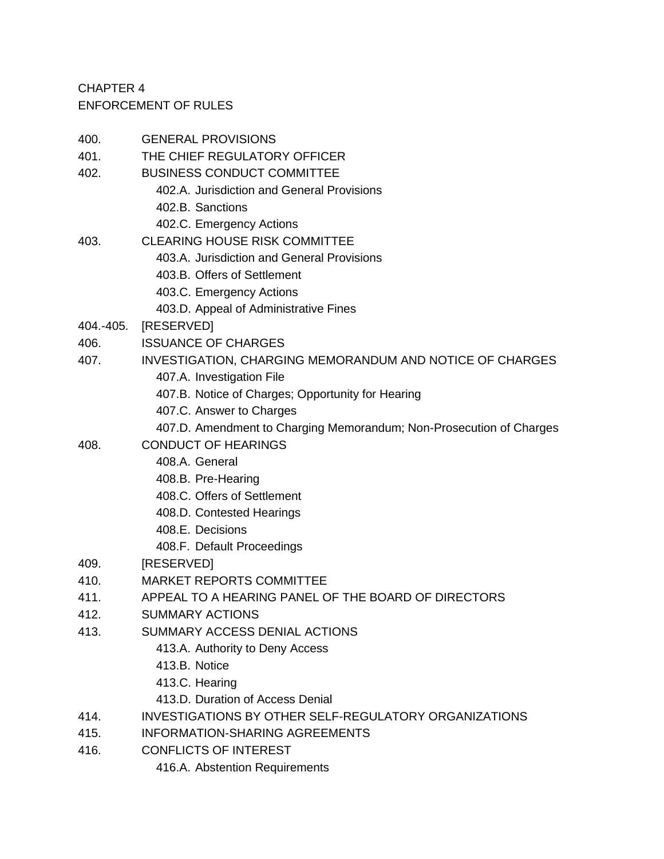CHAPTER 4 ENFORCEMENT OF RULES

| 400.      | <b>GENERAL PROVISIONS</b>                                           |
|-----------|---------------------------------------------------------------------|
| 401.      | THE CHIEF REGULATORY OFFICER                                        |
| 402.      | <b>BUSINESS CONDUCT COMMITTEE</b>                                   |
|           | 402.A. Jurisdiction and General Provisions                          |
|           | 402.B. Sanctions                                                    |
|           | 402.C. Emergency Actions                                            |
| 403.      | <b>CLEARING HOUSE RISK COMMITTEE</b>                                |
|           | 403.A. Jurisdiction and General Provisions                          |
|           | 403.B. Offers of Settlement                                         |
|           | 403.C. Emergency Actions                                            |
|           | 403.D. Appeal of Administrative Fines                               |
| 404.-405. | [RESERVED]                                                          |
| 406.      | <b>ISSUANCE OF CHARGES</b>                                          |
| 407.      | <b>INVESTIGATION, CHARGING MEMORANDUM AND NOTICE OF CHARGES</b>     |
|           | 407.A. Investigation File                                           |
|           | 407.B. Notice of Charges; Opportunity for Hearing                   |
|           | 407.C. Answer to Charges                                            |
|           | 407.D. Amendment to Charging Memorandum; Non-Prosecution of Charges |
| 408.      | <b>CONDUCT OF HEARINGS</b>                                          |
|           | 408.A. General                                                      |
|           | 408.B. Pre-Hearing                                                  |
|           | 408.C. Offers of Settlement                                         |
|           | 408.D. Contested Hearings                                           |
|           | 408.E. Decisions                                                    |
|           | 408.F. Default Proceedings                                          |
| 409.      | [RESERVED]                                                          |
| 410.      | <b>MARKET REPORTS COMMITTEE</b>                                     |
| 411.      | APPEAL TO A HEARING PANEL OF THE BOARD OF DIRECTORS                 |
| 412.      | <b>SUMMARY ACTIONS</b>                                              |
| 413.      | SUMMARY ACCESS DENIAL ACTIONS                                       |
|           | 413.A. Authority to Deny Access                                     |
|           | 413.B. Notice                                                       |
|           | 413.C. Hearing                                                      |
|           | 413.D. Duration of Access Denial                                    |
| 414.      | <b>INVESTIGATIONS BY OTHER SELF-REGULATORY ORGANIZATIONS</b>        |
| 415.      | INFORMATION-SHARING AGREEMENTS                                      |
| 416.      | <b>CONFLICTS OF INTEREST</b>                                        |
|           | 416.A. Abstention Requirements                                      |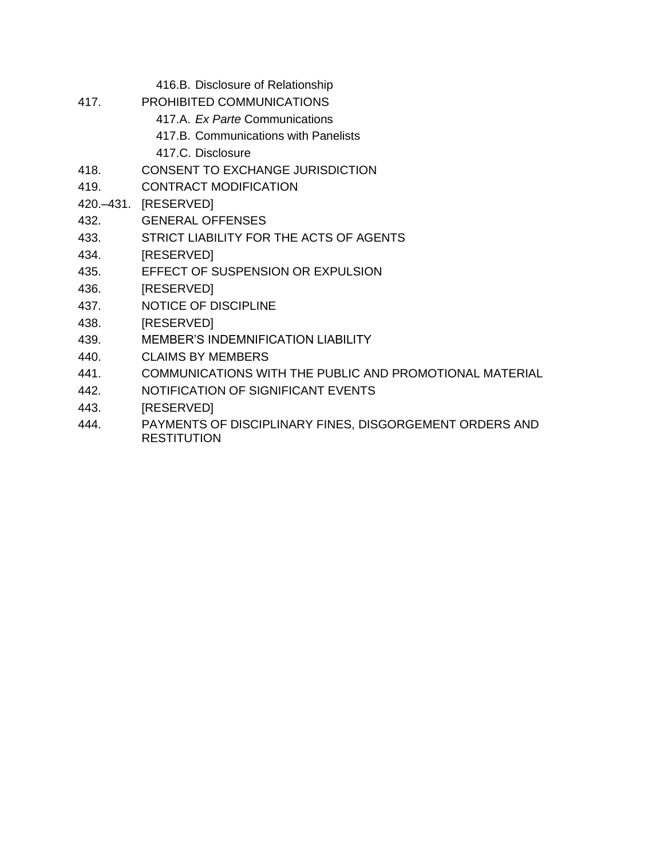- 416.B. Disclosure of Relationship
- 417. PROHIBITED COMMUNICATIONS
	- 417.A. *Ex Parte* Communications
	- 417.B. Communications with Panelists
	- 417.C. Disclosure
- 418. CONSENT TO EXCHANGE JURISDICTION
- 419. CONTRACT MODIFICATION

420.–431. [RESERVED]

- 432. GENERAL OFFENSES
- 433. STRICT LIABILITY FOR THE ACTS OF AGENTS
- 434. [RESERVED]
- 435. EFFECT OF SUSPENSION OR EXPULSION
- 436. [RESERVED]
- 437. NOTICE OF DISCIPLINE
- 438. [RESERVED]
- 439. MEMBER'S INDEMNIFICATION LIABILITY
- 440. CLAIMS BY MEMBERS
- 441. COMMUNICATIONS WITH THE PUBLIC AND PROMOTIONAL MATERIAL
- 442. NOTIFICATION OF SIGNIFICANT EVENTS
- 443. [RESERVED]
- 444. PAYMENTS OF DISCIPLINARY FINES, DISGORGEMENT ORDERS AND **RESTITUTION**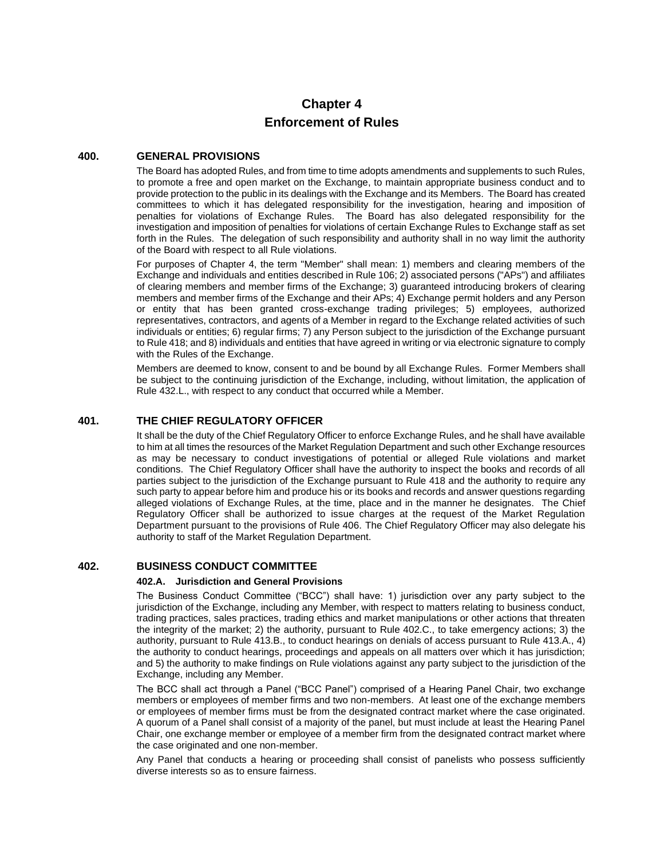# **Chapter 4 Enforcement of Rules**

# **400. GENERAL PROVISIONS**

The Board has adopted Rules, and from time to time adopts amendments and supplements to such Rules, to promote a free and open market on the Exchange, to maintain appropriate business conduct and to provide protection to the public in its dealings with the Exchange and its Members. The Board has created committees to which it has delegated responsibility for the investigation, hearing and imposition of penalties for violations of Exchange Rules. The Board has also delegated responsibility for the investigation and imposition of penalties for violations of certain Exchange Rules to Exchange staff as set forth in the Rules. The delegation of such responsibility and authority shall in no way limit the authority of the Board with respect to all Rule violations.

For purposes of Chapter 4, the term "Member" shall mean: 1) members and clearing members of the Exchange and individuals and entities described in Rule 106; 2) associated persons ("APs") and affiliates of clearing members and member firms of the Exchange; 3) guaranteed introducing brokers of clearing members and member firms of the Exchange and their APs; 4) Exchange permit holders and any Person or entity that has been granted cross-exchange trading privileges; 5) employees, authorized representatives, contractors, and agents of a Member in regard to the Exchange related activities of such individuals or entities; 6) regular firms; 7) any Person subject to the jurisdiction of the Exchange pursuant to Rule 418; and 8) individuals and entities that have agreed in writing or via electronic signature to comply with the Rules of the Exchange.

Members are deemed to know, consent to and be bound by all Exchange Rules. Former Members shall be subject to the continuing jurisdiction of the Exchange, including, without limitation, the application of Rule 432.L., with respect to any conduct that occurred while a Member.

# **401. THE CHIEF REGULATORY OFFICER**

It shall be the duty of the Chief Regulatory Officer to enforce Exchange Rules, and he shall have available to him at all times the resources of the Market Regulation Department and such other Exchange resources as may be necessary to conduct investigations of potential or alleged Rule violations and market conditions. The Chief Regulatory Officer shall have the authority to inspect the books and records of all parties subject to the jurisdiction of the Exchange pursuant to Rule 418 and the authority to require any such party to appear before him and produce his or its books and records and answer questions regarding alleged violations of Exchange Rules, at the time, place and in the manner he designates. The Chief Regulatory Officer shall be authorized to issue charges at the request of the Market Regulation Department pursuant to the provisions of Rule 406. The Chief Regulatory Officer may also delegate his authority to staff of the Market Regulation Department.

# **402. BUSINESS CONDUCT COMMITTEE**

#### **402.A. Jurisdiction and General Provisions**

The Business Conduct Committee ("BCC") shall have: 1) jurisdiction over any party subject to the jurisdiction of the Exchange, including any Member, with respect to matters relating to business conduct, trading practices, sales practices, trading ethics and market manipulations or other actions that threaten the integrity of the market; 2) the authority, pursuant to Rule 402.C., to take emergency actions; 3) the authority, pursuant to Rule 413.B., to conduct hearings on denials of access pursuant to Rule 413.A., 4) the authority to conduct hearings, proceedings and appeals on all matters over which it has jurisdiction; and 5) the authority to make findings on Rule violations against any party subject to the jurisdiction of the Exchange, including any Member.

The BCC shall act through a Panel ("BCC Panel") comprised of a Hearing Panel Chair, two exchange members or employees of member firms and two non-members. At least one of the exchange members or employees of member firms must be from the designated contract market where the case originated. A quorum of a Panel shall consist of a majority of the panel, but must include at least the Hearing Panel Chair, one exchange member or employee of a member firm from the designated contract market where the case originated and one non-member.

Any Panel that conducts a hearing or proceeding shall consist of panelists who possess sufficiently diverse interests so as to ensure fairness.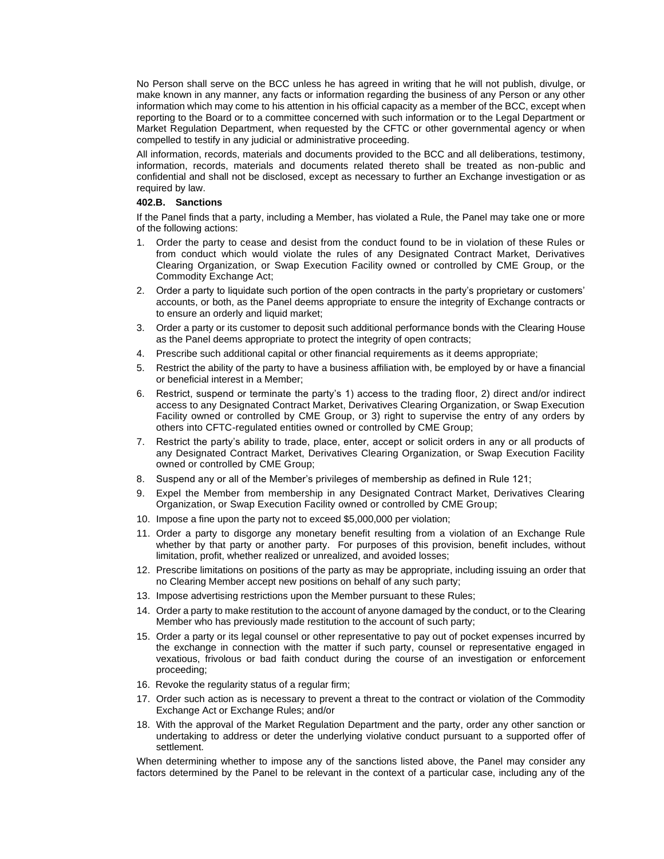No Person shall serve on the BCC unless he has agreed in writing that he will not publish, divulge, or make known in any manner, any facts or information regarding the business of any Person or any other information which may come to his attention in his official capacity as a member of the BCC, except when reporting to the Board or to a committee concerned with such information or to the Legal Department or Market Regulation Department, when requested by the CFTC or other governmental agency or when compelled to testify in any judicial or administrative proceeding.

All information, records, materials and documents provided to the BCC and all deliberations, testimony, information, records, materials and documents related thereto shall be treated as non-public and confidential and shall not be disclosed, except as necessary to further an Exchange investigation or as required by law.

# **402.B. Sanctions**

If the Panel finds that a party, including a Member, has violated a Rule, the Panel may take one or more of the following actions:

- 1. Order the party to cease and desist from the conduct found to be in violation of these Rules or from conduct which would violate the rules of any Designated Contract Market, Derivatives Clearing Organization, or Swap Execution Facility owned or controlled by CME Group, or the Commodity Exchange Act;
- 2. Order a party to liquidate such portion of the open contracts in the party's proprietary or customers' accounts, or both, as the Panel deems appropriate to ensure the integrity of Exchange contracts or to ensure an orderly and liquid market;
- 3. Order a party or its customer to deposit such additional performance bonds with the Clearing House as the Panel deems appropriate to protect the integrity of open contracts;
- 4. Prescribe such additional capital or other financial requirements as it deems appropriate;
- 5. Restrict the ability of the party to have a business affiliation with, be employed by or have a financial or beneficial interest in a Member;
- 6. Restrict, suspend or terminate the party's 1) access to the trading floor, 2) direct and/or indirect access to any Designated Contract Market, Derivatives Clearing Organization, or Swap Execution Facility owned or controlled by CME Group, or 3) right to supervise the entry of any orders by others into CFTC-regulated entities owned or controlled by CME Group;
- 7. Restrict the party's ability to trade, place, enter, accept or solicit orders in any or all products of any Designated Contract Market, Derivatives Clearing Organization, or Swap Execution Facility owned or controlled by CME Group;
- 8. Suspend any or all of the Member's privileges of membership as defined in Rule 121;
- 9. Expel the Member from membership in any Designated Contract Market, Derivatives Clearing Organization, or Swap Execution Facility owned or controlled by CME Group;
- 10. Impose a fine upon the party not to exceed \$5,000,000 per violation;
- 11. Order a party to disgorge any monetary benefit resulting from a violation of an Exchange Rule whether by that party or another party. For purposes of this provision, benefit includes, without limitation, profit, whether realized or unrealized, and avoided losses;
- 12. Prescribe limitations on positions of the party as may be appropriate, including issuing an order that no Clearing Member accept new positions on behalf of any such party;
- 13. Impose advertising restrictions upon the Member pursuant to these Rules;
- 14. Order a party to make restitution to the account of anyone damaged by the conduct, or to the Clearing Member who has previously made restitution to the account of such party;
- 15. Order a party or its legal counsel or other representative to pay out of pocket expenses incurred by the exchange in connection with the matter if such party, counsel or representative engaged in vexatious, frivolous or bad faith conduct during the course of an investigation or enforcement proceeding;
- 16. Revoke the regularity status of a regular firm;
- 17. Order such action as is necessary to prevent a threat to the contract or violation of the Commodity Exchange Act or Exchange Rules; and/or
- 18. With the approval of the Market Regulation Department and the party, order any other sanction or undertaking to address or deter the underlying violative conduct pursuant to a supported offer of settlement.

When determining whether to impose any of the sanctions listed above, the Panel may consider any factors determined by the Panel to be relevant in the context of a particular case, including any of the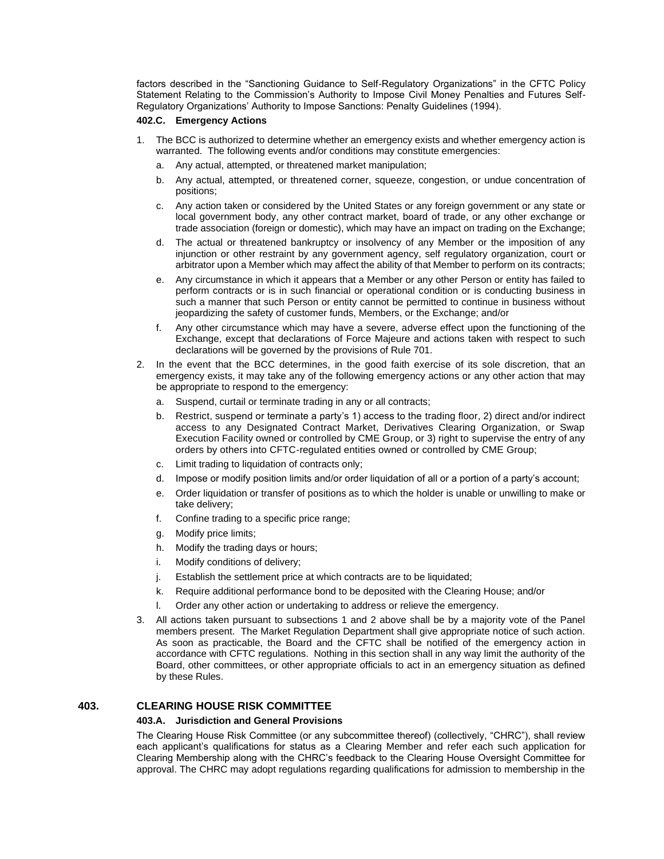factors described in the "Sanctioning Guidance to Self-Regulatory Organizations" in the CFTC Policy Statement Relating to the Commission's Authority to Impose Civil Money Penalties and Futures Self-Regulatory Organizations' Authority to Impose Sanctions: Penalty Guidelines (1994).

### **402.C. Emergency Actions**

- 1. The BCC is authorized to determine whether an emergency exists and whether emergency action is warranted. The following events and/or conditions may constitute emergencies:
	- a. Any actual, attempted, or threatened market manipulation;
	- b. Any actual, attempted, or threatened corner, squeeze, congestion, or undue concentration of positions;
	- c. Any action taken or considered by the United States or any foreign government or any state or local government body, any other contract market, board of trade, or any other exchange or trade association (foreign or domestic), which may have an impact on trading on the Exchange;
	- d. The actual or threatened bankruptcy or insolvency of any Member or the imposition of any injunction or other restraint by any government agency, self regulatory organization, court or arbitrator upon a Member which may affect the ability of that Member to perform on its contracts;
	- e. Any circumstance in which it appears that a Member or any other Person or entity has failed to perform contracts or is in such financial or operational condition or is conducting business in such a manner that such Person or entity cannot be permitted to continue in business without jeopardizing the safety of customer funds, Members, or the Exchange; and/or
	- f. Any other circumstance which may have a severe, adverse effect upon the functioning of the Exchange, except that declarations of Force Majeure and actions taken with respect to such declarations will be governed by the provisions of Rule 701.
- 2. In the event that the BCC determines, in the good faith exercise of its sole discretion, that an emergency exists, it may take any of the following emergency actions or any other action that may be appropriate to respond to the emergency:
	- a. Suspend, curtail or terminate trading in any or all contracts;
	- b. Restrict, suspend or terminate a party's 1) access to the trading floor, 2) direct and/or indirect access to any Designated Contract Market, Derivatives Clearing Organization, or Swap Execution Facility owned or controlled by CME Group, or 3) right to supervise the entry of any orders by others into CFTC-regulated entities owned or controlled by CME Group;
	- c. Limit trading to liquidation of contracts only;
	- d. Impose or modify position limits and/or order liquidation of all or a portion of a party's account;
	- e. Order liquidation or transfer of positions as to which the holder is unable or unwilling to make or take delivery;
	- f. Confine trading to a specific price range;
	- g. Modify price limits;
	- h. Modify the trading days or hours;
	- i. Modify conditions of delivery;
	- j. Establish the settlement price at which contracts are to be liquidated;
	- k. Require additional performance bond to be deposited with the Clearing House; and/or
	- l. Order any other action or undertaking to address or relieve the emergency.
- 3. All actions taken pursuant to subsections 1 and 2 above shall be by a majority vote of the Panel members present. The Market Regulation Department shall give appropriate notice of such action. As soon as practicable, the Board and the CFTC shall be notified of the emergency action in accordance with CFTC regulations. Nothing in this section shall in any way limit the authority of the Board, other committees, or other appropriate officials to act in an emergency situation as defined by these Rules.

### **403. CLEARING HOUSE RISK COMMITTEE**

### **403.A. Jurisdiction and General Provisions**

The Clearing House Risk Committee (or any subcommittee thereof) (collectively, "CHRC"), shall review each applicant's qualifications for status as a Clearing Member and refer each such application for Clearing Membership along with the CHRC's feedback to the Clearing House Oversight Committee for approval. The CHRC may adopt regulations regarding qualifications for admission to membership in the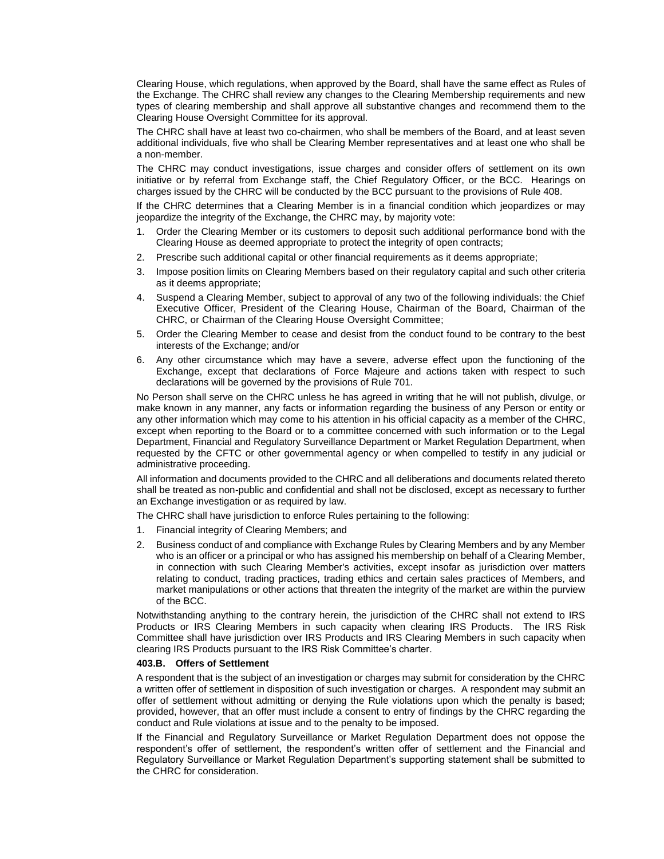Clearing House, which regulations, when approved by the Board, shall have the same effect as Rules of the Exchange. The CHRC shall review any changes to the Clearing Membership requirements and new types of clearing membership and shall approve all substantive changes and recommend them to the Clearing House Oversight Committee for its approval.

The CHRC shall have at least two co-chairmen, who shall be members of the Board, and at least seven additional individuals, five who shall be Clearing Member representatives and at least one who shall be a non-member.

The CHRC may conduct investigations, issue charges and consider offers of settlement on its own initiative or by referral from Exchange staff, the Chief Regulatory Officer, or the BCC. Hearings on charges issued by the CHRC will be conducted by the BCC pursuant to the provisions of Rule 408.

If the CHRC determines that a Clearing Member is in a financial condition which jeopardizes or may jeopardize the integrity of the Exchange, the CHRC may, by majority vote:

- 1. Order the Clearing Member or its customers to deposit such additional performance bond with the Clearing House as deemed appropriate to protect the integrity of open contracts;
- 2. Prescribe such additional capital or other financial requirements as it deems appropriate;
- 3. Impose position limits on Clearing Members based on their regulatory capital and such other criteria as it deems appropriate;
- 4. Suspend a Clearing Member, subject to approval of any two of the following individuals: the Chief Executive Officer, President of the Clearing House, Chairman of the Board, Chairman of the CHRC, or Chairman of the Clearing House Oversight Committee;
- 5. Order the Clearing Member to cease and desist from the conduct found to be contrary to the best interests of the Exchange; and/or
- 6. Any other circumstance which may have a severe, adverse effect upon the functioning of the Exchange, except that declarations of Force Majeure and actions taken with respect to such declarations will be governed by the provisions of Rule 701.

No Person shall serve on the CHRC unless he has agreed in writing that he will not publish, divulge, or make known in any manner, any facts or information regarding the business of any Person or entity or any other information which may come to his attention in his official capacity as a member of the CHRC, except when reporting to the Board or to a committee concerned with such information or to the Legal Department, Financial and Regulatory Surveillance Department or Market Regulation Department, when requested by the CFTC or other governmental agency or when compelled to testify in any judicial or administrative proceeding.

All information and documents provided to the CHRC and all deliberations and documents related thereto shall be treated as non-public and confidential and shall not be disclosed, except as necessary to further an Exchange investigation or as required by law.

The CHRC shall have jurisdiction to enforce Rules pertaining to the following:

- 1. Financial integrity of Clearing Members; and
- 2. Business conduct of and compliance with Exchange Rules by Clearing Members and by any Member who is an officer or a principal or who has assigned his membership on behalf of a Clearing Member, in connection with such Clearing Member's activities, except insofar as jurisdiction over matters relating to conduct, trading practices, trading ethics and certain sales practices of Members, and market manipulations or other actions that threaten the integrity of the market are within the purview of the BCC.

Notwithstanding anything to the contrary herein, the jurisdiction of the CHRC shall not extend to IRS Products or IRS Clearing Members in such capacity when clearing IRS Products. The IRS Risk Committee shall have jurisdiction over IRS Products and IRS Clearing Members in such capacity when clearing IRS Products pursuant to the IRS Risk Committee's charter.

#### **403.B. Offers of Settlement**

A respondent that is the subject of an investigation or charges may submit for consideration by the CHRC a written offer of settlement in disposition of such investigation or charges. A respondent may submit an offer of settlement without admitting or denying the Rule violations upon which the penalty is based; provided, however, that an offer must include a consent to entry of findings by the CHRC regarding the conduct and Rule violations at issue and to the penalty to be imposed.

If the Financial and Regulatory Surveillance or Market Regulation Department does not oppose the respondent's offer of settlement, the respondent's written offer of settlement and the Financial and Regulatory Surveillance or Market Regulation Department's supporting statement shall be submitted to the CHRC for consideration.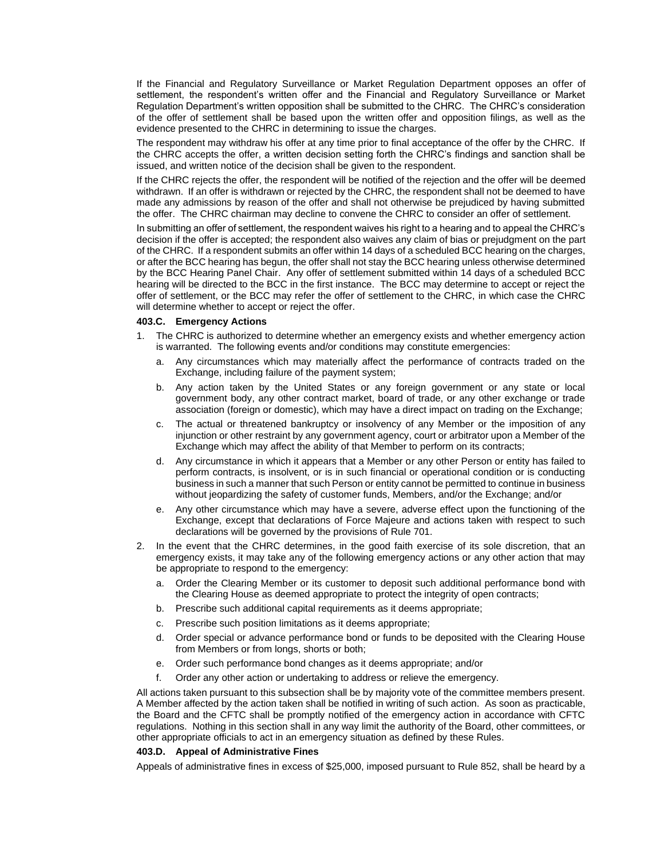If the Financial and Regulatory Surveillance or Market Regulation Department opposes an offer of settlement, the respondent's written offer and the Financial and Regulatory Surveillance or Market Regulation Department's written opposition shall be submitted to the CHRC. The CHRC's consideration of the offer of settlement shall be based upon the written offer and opposition filings, as well as the evidence presented to the CHRC in determining to issue the charges.

The respondent may withdraw his offer at any time prior to final acceptance of the offer by the CHRC. If the CHRC accepts the offer, a written decision setting forth the CHRC's findings and sanction shall be issued, and written notice of the decision shall be given to the respondent.

If the CHRC rejects the offer, the respondent will be notified of the rejection and the offer will be deemed withdrawn. If an offer is withdrawn or rejected by the CHRC, the respondent shall not be deemed to have made any admissions by reason of the offer and shall not otherwise be prejudiced by having submitted the offer. The CHRC chairman may decline to convene the CHRC to consider an offer of settlement.

In submitting an offer of settlement, the respondent waives his right to a hearing and to appeal the CHRC's decision if the offer is accepted; the respondent also waives any claim of bias or prejudgment on the part of the CHRC. If a respondent submits an offer within 14 days of a scheduled BCC hearing on the charges, or after the BCC hearing has begun, the offer shall not stay the BCC hearing unless otherwise determined by the BCC Hearing Panel Chair. Any offer of settlement submitted within 14 days of a scheduled BCC hearing will be directed to the BCC in the first instance. The BCC may determine to accept or reject the offer of settlement, or the BCC may refer the offer of settlement to the CHRC, in which case the CHRC will determine whether to accept or reject the offer.

#### **403.C. Emergency Actions**

- 1. The CHRC is authorized to determine whether an emergency exists and whether emergency action is warranted. The following events and/or conditions may constitute emergencies:
	- a. Any circumstances which may materially affect the performance of contracts traded on the Exchange, including failure of the payment system;
	- b. Any action taken by the United States or any foreign government or any state or local government body, any other contract market, board of trade, or any other exchange or trade association (foreign or domestic), which may have a direct impact on trading on the Exchange;
	- c. The actual or threatened bankruptcy or insolvency of any Member or the imposition of any injunction or other restraint by any government agency, court or arbitrator upon a Member of the Exchange which may affect the ability of that Member to perform on its contracts;
	- d. Any circumstance in which it appears that a Member or any other Person or entity has failed to perform contracts, is insolvent, or is in such financial or operational condition or is conducting business in such a manner that such Person or entity cannot be permitted to continue in business without jeopardizing the safety of customer funds, Members, and/or the Exchange; and/or
	- e. Any other circumstance which may have a severe, adverse effect upon the functioning of the Exchange, except that declarations of Force Majeure and actions taken with respect to such declarations will be governed by the provisions of Rule 701.
- 2. In the event that the CHRC determines, in the good faith exercise of its sole discretion, that an emergency exists, it may take any of the following emergency actions or any other action that may be appropriate to respond to the emergency:
	- a. Order the Clearing Member or its customer to deposit such additional performance bond with the Clearing House as deemed appropriate to protect the integrity of open contracts;
	- b. Prescribe such additional capital requirements as it deems appropriate;
	- c. Prescribe such position limitations as it deems appropriate;
	- d. Order special or advance performance bond or funds to be deposited with the Clearing House from Members or from longs, shorts or both;
	- e. Order such performance bond changes as it deems appropriate; and/or
	- f. Order any other action or undertaking to address or relieve the emergency.

All actions taken pursuant to this subsection shall be by majority vote of the committee members present. A Member affected by the action taken shall be notified in writing of such action. As soon as practicable, the Board and the CFTC shall be promptly notified of the emergency action in accordance with CFTC regulations. Nothing in this section shall in any way limit the authority of the Board, other committees, or other appropriate officials to act in an emergency situation as defined by these Rules.

#### **403.D. Appeal of Administrative Fines**

Appeals of administrative fines in excess of \$25,000, imposed pursuant to Rule 852, shall be heard by a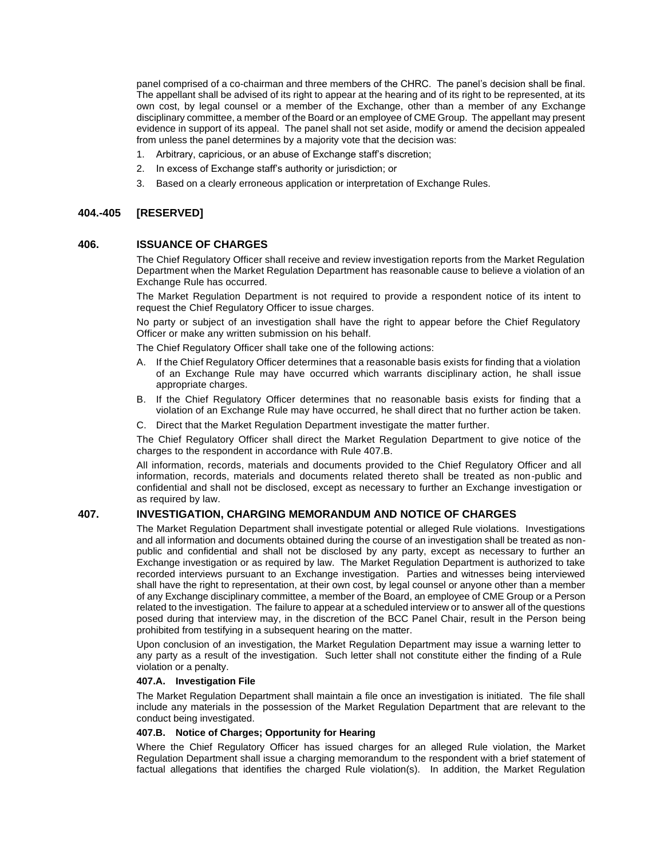panel comprised of a co-chairman and three members of the CHRC. The panel's decision shall be final. The appellant shall be advised of its right to appear at the hearing and of its right to be represented, at its own cost, by legal counsel or a member of the Exchange, other than a member of any Exchange disciplinary committee, a member of the Board or an employee of CME Group. The appellant may present evidence in support of its appeal. The panel shall not set aside, modify or amend the decision appealed from unless the panel determines by a majority vote that the decision was:

- 1. Arbitrary, capricious, or an abuse of Exchange staff's discretion;
- 2. In excess of Exchange staff's authority or jurisdiction; or
- 3. Based on a clearly erroneous application or interpretation of Exchange Rules.

### **404.-405 [RESERVED]**

#### **406. ISSUANCE OF CHARGES**

The Chief Regulatory Officer shall receive and review investigation reports from the Market Regulation Department when the Market Regulation Department has reasonable cause to believe a violation of an Exchange Rule has occurred.

The Market Regulation Department is not required to provide a respondent notice of its intent to request the Chief Regulatory Officer to issue charges.

No party or subject of an investigation shall have the right to appear before the Chief Regulatory Officer or make any written submission on his behalf.

The Chief Regulatory Officer shall take one of the following actions:

- A. If the Chief Regulatory Officer determines that a reasonable basis exists for finding that a violation of an Exchange Rule may have occurred which warrants disciplinary action, he shall issue appropriate charges.
- B. If the Chief Regulatory Officer determines that no reasonable basis exists for finding that a violation of an Exchange Rule may have occurred, he shall direct that no further action be taken.
- C. Direct that the Market Regulation Department investigate the matter further.

The Chief Regulatory Officer shall direct the Market Regulation Department to give notice of the charges to the respondent in accordance with Rule 407.B.

All information, records, materials and documents provided to the Chief Regulatory Officer and all information, records, materials and documents related thereto shall be treated as non-public and confidential and shall not be disclosed, except as necessary to further an Exchange investigation or as required by law.

### **407. INVESTIGATION, CHARGING MEMORANDUM AND NOTICE OF CHARGES**

The Market Regulation Department shall investigate potential or alleged Rule violations. Investigations and all information and documents obtained during the course of an investigation shall be treated as nonpublic and confidential and shall not be disclosed by any party, except as necessary to further an Exchange investigation or as required by law. The Market Regulation Department is authorized to take recorded interviews pursuant to an Exchange investigation. Parties and witnesses being interviewed shall have the right to representation, at their own cost, by legal counsel or anyone other than a member of any Exchange disciplinary committee, a member of the Board, an employee of CME Group or a Person related to the investigation. The failure to appear at a scheduled interview or to answer all of the questions posed during that interview may, in the discretion of the BCC Panel Chair, result in the Person being prohibited from testifying in a subsequent hearing on the matter.

Upon conclusion of an investigation, the Market Regulation Department may issue a warning letter to any party as a result of the investigation. Such letter shall not constitute either the finding of a Rule violation or a penalty.

#### **407.A. Investigation File**

The Market Regulation Department shall maintain a file once an investigation is initiated. The file shall include any materials in the possession of the Market Regulation Department that are relevant to the conduct being investigated.

### **407.B. Notice of Charges; Opportunity for Hearing**

Where the Chief Regulatory Officer has issued charges for an alleged Rule violation, the Market Regulation Department shall issue a charging memorandum to the respondent with a brief statement of factual allegations that identifies the charged Rule violation(s). In addition, the Market Regulation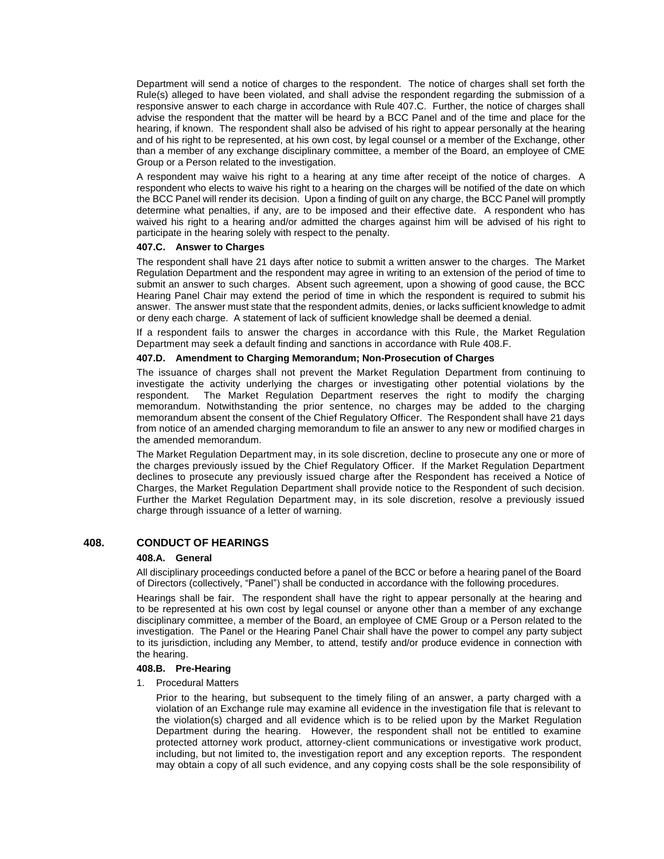Department will send a notice of charges to the respondent. The notice of charges shall set forth the Rule(s) alleged to have been violated, and shall advise the respondent regarding the submission of a responsive answer to each charge in accordance with Rule 407.C. Further, the notice of charges shall advise the respondent that the matter will be heard by a BCC Panel and of the time and place for the hearing, if known. The respondent shall also be advised of his right to appear personally at the hearing and of his right to be represented, at his own cost, by legal counsel or a member of the Exchange, other than a member of any exchange disciplinary committee, a member of the Board, an employee of CME Group or a Person related to the investigation.

A respondent may waive his right to a hearing at any time after receipt of the notice of charges. A respondent who elects to waive his right to a hearing on the charges will be notified of the date on which the BCC Panel will render its decision. Upon a finding of guilt on any charge, the BCC Panel will promptly determine what penalties, if any, are to be imposed and their effective date. A respondent who has waived his right to a hearing and/or admitted the charges against him will be advised of his right to participate in the hearing solely with respect to the penalty.

#### **407.C. Answer to Charges**

The respondent shall have 21 days after notice to submit a written answer to the charges. The Market Regulation Department and the respondent may agree in writing to an extension of the period of time to submit an answer to such charges. Absent such agreement, upon a showing of good cause, the BCC Hearing Panel Chair may extend the period of time in which the respondent is required to submit his answer. The answer must state that the respondent admits, denies, or lacks sufficient knowledge to admit or deny each charge. A statement of lack of sufficient knowledge shall be deemed a denial.

If a respondent fails to answer the charges in accordance with this Rule, the Market Regulation Department may seek a default finding and sanctions in accordance with Rule 408.F.

### **407.D. Amendment to Charging Memorandum; Non-Prosecution of Charges**

The issuance of charges shall not prevent the Market Regulation Department from continuing to investigate the activity underlying the charges or investigating other potential violations by the respondent. The Market Regulation Department reserves the right to modify the charging memorandum. Notwithstanding the prior sentence, no charges may be added to the charging memorandum absent the consent of the Chief Regulatory Officer. The Respondent shall have 21 days from notice of an amended charging memorandum to file an answer to any new or modified charges in the amended memorandum.

The Market Regulation Department may, in its sole discretion, decline to prosecute any one or more of the charges previously issued by the Chief Regulatory Officer. If the Market Regulation Department declines to prosecute any previously issued charge after the Respondent has received a Notice of Charges, the Market Regulation Department shall provide notice to the Respondent of such decision. Further the Market Regulation Department may, in its sole discretion, resolve a previously issued charge through issuance of a letter of warning.

# **408. CONDUCT OF HEARINGS**

#### **408.A. General**

All disciplinary proceedings conducted before a panel of the BCC or before a hearing panel of the Board of Directors (collectively, "Panel") shall be conducted in accordance with the following procedures.

Hearings shall be fair. The respondent shall have the right to appear personally at the hearing and to be represented at his own cost by legal counsel or anyone other than a member of any exchange disciplinary committee, a member of the Board, an employee of CME Group or a Person related to the investigation. The Panel or the Hearing Panel Chair shall have the power to compel any party subject to its jurisdiction, including any Member, to attend, testify and/or produce evidence in connection with the hearing.

# **408.B. Pre-Hearing**

1. Procedural Matters

Prior to the hearing, but subsequent to the timely filing of an answer, a party charged with a violation of an Exchange rule may examine all evidence in the investigation file that is relevant to the violation(s) charged and all evidence which is to be relied upon by the Market Regulation Department during the hearing. However, the respondent shall not be entitled to examine protected attorney work product, attorney-client communications or investigative work product, including, but not limited to, the investigation report and any exception reports. The respondent may obtain a copy of all such evidence, and any copying costs shall be the sole responsibility of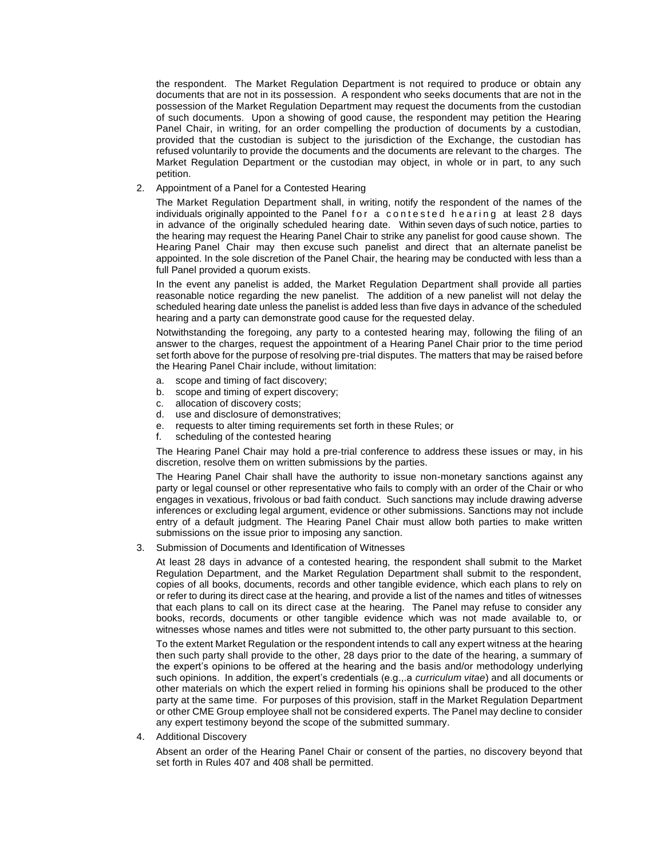the respondent. The Market Regulation Department is not required to produce or obtain any documents that are not in its possession. A respondent who seeks documents that are not in the possession of the Market Regulation Department may request the documents from the custodian of such documents. Upon a showing of good cause, the respondent may petition the Hearing Panel Chair, in writing, for an order compelling the production of documents by a custodian, provided that the custodian is subject to the jurisdiction of the Exchange, the custodian has refused voluntarily to provide the documents and the documents are relevant to the charges. The Market Regulation Department or the custodian may object, in whole or in part, to any such petition.

2. Appointment of a Panel for a Contested Hearing

The Market Regulation Department shall, in writing, notify the respondent of the names of the individuals originally appointed to the Panel for a contested hearing at least 28 days in advance of the originally scheduled hearing date. Within seven days of such notice, parties to the hearing may request the Hearing Panel Chair to strike any panelist for good cause shown. The Hearing Panel Chair may then excuse such panelist and direct that an alternate panelist be appointed. In the sole discretion of the Panel Chair, the hearing may be conducted with less than a full Panel provided a quorum exists.

In the event any panelist is added, the Market Regulation Department shall provide all parties reasonable notice regarding the new panelist. The addition of a new panelist will not delay the scheduled hearing date unless the panelist is added less than five days in advance of the scheduled hearing and a party can demonstrate good cause for the requested delay.

Notwithstanding the foregoing, any party to a contested hearing may, following the filing of an answer to the charges, request the appointment of a Hearing Panel Chair prior to the time period set forth above for the purpose of resolving pre-trial disputes. The matters that may be raised before the Hearing Panel Chair include, without limitation:

- a. scope and timing of fact discovery;
- b. scope and timing of expert discovery;
- c. allocation of discovery costs;
- d. use and disclosure of demonstratives;
- e. requests to alter timing requirements set forth in these Rules; or
- f. scheduling of the contested hearing

The Hearing Panel Chair may hold a pre-trial conference to address these issues or may, in his discretion, resolve them on written submissions by the parties.

The Hearing Panel Chair shall have the authority to issue non-monetary sanctions against any party or legal counsel or other representative who fails to comply with an order of the Chair or who engages in vexatious, frivolous or bad faith conduct. Such sanctions may include drawing adverse inferences or excluding legal argument, evidence or other submissions. Sanctions may not include entry of a default judgment. The Hearing Panel Chair must allow both parties to make written submissions on the issue prior to imposing any sanction.

3. Submission of Documents and Identification of Witnesses

At least 28 days in advance of a contested hearing, the respondent shall submit to the Market Regulation Department, and the Market Regulation Department shall submit to the respondent, copies of all books, documents, records and other tangible evidence, which each plans to rely on or refer to during its direct case at the hearing, and provide a list of the names and titles of witnesses that each plans to call on its direct case at the hearing. The Panel may refuse to consider any books, records, documents or other tangible evidence which was not made available to, or witnesses whose names and titles were not submitted to, the other party pursuant to this section.

To the extent Market Regulation or the respondent intends to call any expert witness at the hearing then such party shall provide to the other, 28 days prior to the date of the hearing, a summary of the expert's opinions to be offered at the hearing and the basis and/or methodology underlying such opinions. In addition, the expert's credentials (e.g.,.a *curriculum vitae*) and all documents or other materials on which the expert relied in forming his opinions shall be produced to the other party at the same time. For purposes of this provision, staff in the Market Regulation Department or other CME Group employee shall not be considered experts. The Panel may decline to consider any expert testimony beyond the scope of the submitted summary.

4. Additional Discovery

Absent an order of the Hearing Panel Chair or consent of the parties, no discovery beyond that set forth in Rules 407 and 408 shall be permitted.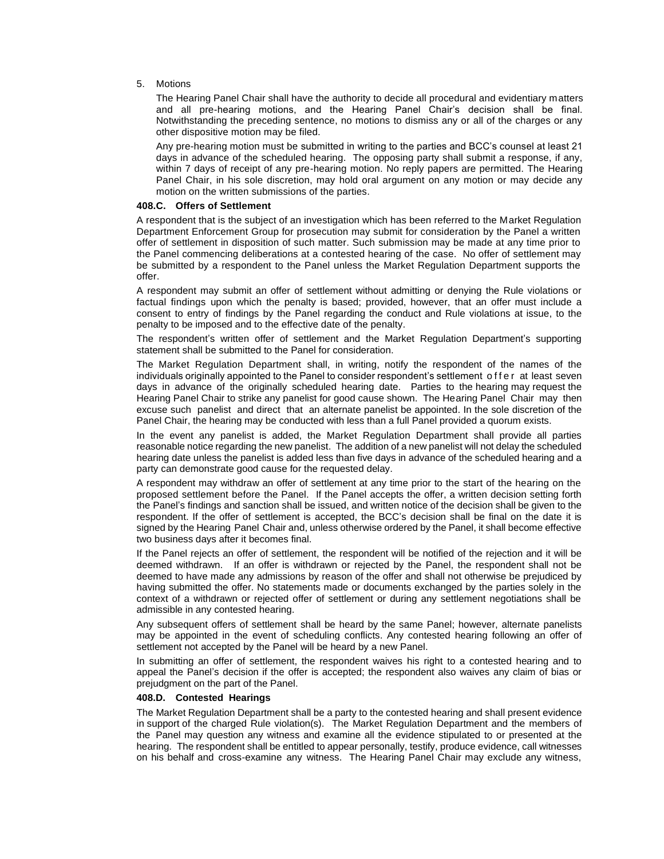#### 5. Motions

The Hearing Panel Chair shall have the authority to decide all procedural and evidentiary matters and all pre-hearing motions, and the Hearing Panel Chair's decision shall be final. Notwithstanding the preceding sentence, no motions to dismiss any or all of the charges or any other dispositive motion may be filed.

Any pre-hearing motion must be submitted in writing to the parties and BCC's counsel at least 21 days in advance of the scheduled hearing. The opposing party shall submit a response, if any, within 7 days of receipt of any pre-hearing motion. No reply papers are permitted. The Hearing Panel Chair, in his sole discretion, may hold oral argument on any motion or may decide any motion on the written submissions of the parties.

#### **408.C. Offers of Settlement**

A respondent that is the subject of an investigation which has been referred to the Market Regulation Department Enforcement Group for prosecution may submit for consideration by the Panel a written offer of settlement in disposition of such matter. Such submission may be made at any time prior to the Panel commencing deliberations at a contested hearing of the case. No offer of settlement may be submitted by a respondent to the Panel unless the Market Regulation Department supports the offer.

A respondent may submit an offer of settlement without admitting or denying the Rule violations or factual findings upon which the penalty is based; provided, however, that an offer must include a consent to entry of findings by the Panel regarding the conduct and Rule violations at issue, to the penalty to be imposed and to the effective date of the penalty.

The respondent's written offer of settlement and the Market Regulation Department's supporting statement shall be submitted to the Panel for consideration.

The Market Regulation Department shall, in writing, notify the respondent of the names of the individuals originally appointed to the Panel to consider respondent's settlement offer at least seven days in advance of the originally scheduled hearing date. Parties to the hearing may request the Hearing Panel Chair to strike any panelist for good cause shown. The Hearing Panel Chair may then excuse such panelist and direct that an alternate panelist be appointed. In the sole discretion of the Panel Chair, the hearing may be conducted with less than a full Panel provided a quorum exists.

In the event any panelist is added, the Market Regulation Department shall provide all parties reasonable notice regarding the new panelist. The addition of a new panelist will not delay the scheduled hearing date unless the panelist is added less than five days in advance of the scheduled hearing and a party can demonstrate good cause for the requested delay.

A respondent may withdraw an offer of settlement at any time prior to the start of the hearing on the proposed settlement before the Panel. If the Panel accepts the offer, a written decision setting forth the Panel's findings and sanction shall be issued, and written notice of the decision shall be given to the respondent. If the offer of settlement is accepted, the BCC's decision shall be final on the date it is signed by the Hearing Panel Chair and, unless otherwise ordered by the Panel, it shall become effective two business days after it becomes final.

If the Panel rejects an offer of settlement, the respondent will be notified of the rejection and it will be deemed withdrawn. If an offer is withdrawn or rejected by the Panel, the respondent shall not be deemed to have made any admissions by reason of the offer and shall not otherwise be prejudiced by having submitted the offer. No statements made or documents exchanged by the parties solely in the context of a withdrawn or rejected offer of settlement or during any settlement negotiations shall be admissible in any contested hearing.

Any subsequent offers of settlement shall be heard by the same Panel; however, alternate panelists may be appointed in the event of scheduling conflicts. Any contested hearing following an offer of settlement not accepted by the Panel will be heard by a new Panel.

In submitting an offer of settlement, the respondent waives his right to a contested hearing and to appeal the Panel's decision if the offer is accepted; the respondent also waives any claim of bias or prejudgment on the part of the Panel.

### **408.D. Contested Hearings**

The Market Regulation Department shall be a party to the contested hearing and shall present evidence in support of the charged Rule violation(s). The Market Regulation Department and the members of the Panel may question any witness and examine all the evidence stipulated to or presented at the hearing. The respondent shall be entitled to appear personally, testify, produce evidence, call witnesses on his behalf and cross-examine any witness. The Hearing Panel Chair may exclude any witness,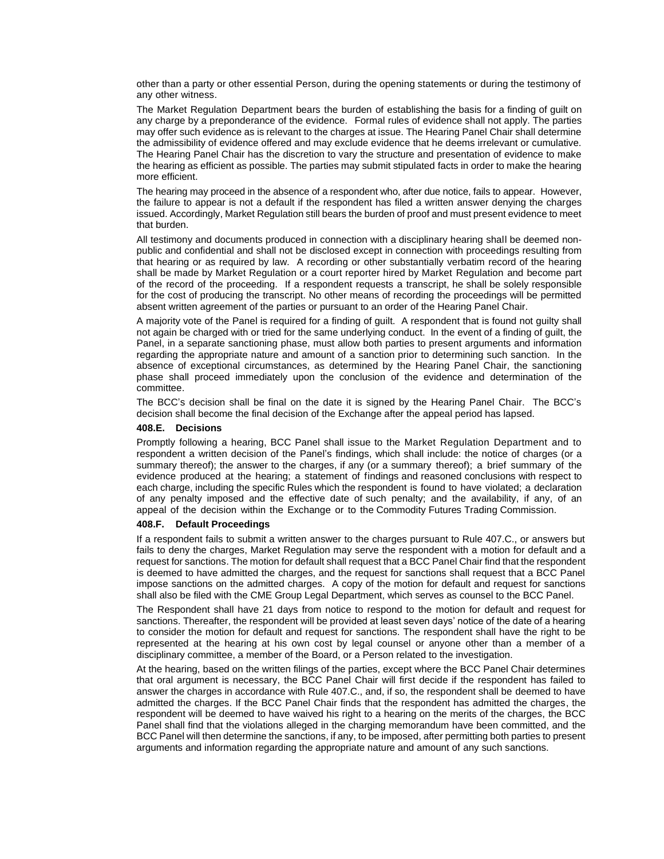other than a party or other essential Person, during the opening statements or during the testimony of any other witness.

The Market Regulation Department bears the burden of establishing the basis for a finding of guilt on any charge by a preponderance of the evidence. Formal rules of evidence shall not apply. The parties may offer such evidence as is relevant to the charges at issue. The Hearing Panel Chair shall determine the admissibility of evidence offered and may exclude evidence that he deems irrelevant or cumulative. The Hearing Panel Chair has the discretion to vary the structure and presentation of evidence to make the hearing as efficient as possible. The parties may submit stipulated facts in order to make the hearing more efficient.

The hearing may proceed in the absence of a respondent who, after due notice, fails to appear. However, the failure to appear is not a default if the respondent has filed a written answer denying the charges issued. Accordingly, Market Regulation still bears the burden of proof and must present evidence to meet that burden.

All testimony and documents produced in connection with a disciplinary hearing shall be deemed nonpublic and confidential and shall not be disclosed except in connection with proceedings resulting from that hearing or as required by law. A recording or other substantially verbatim record of the hearing shall be made by Market Regulation or a court reporter hired by Market Regulation and become part of the record of the proceeding. If a respondent requests a transcript, he shall be solely responsible for the cost of producing the transcript. No other means of recording the proceedings will be permitted absent written agreement of the parties or pursuant to an order of the Hearing Panel Chair.

A majority vote of the Panel is required for a finding of guilt. A respondent that is found not guilty shall not again be charged with or tried for the same underlying conduct. In the event of a finding of guilt, the Panel, in a separate sanctioning phase, must allow both parties to present arguments and information regarding the appropriate nature and amount of a sanction prior to determining such sanction. In the absence of exceptional circumstances, as determined by the Hearing Panel Chair, the sanctioning phase shall proceed immediately upon the conclusion of the evidence and determination of the committee.

The BCC's decision shall be final on the date it is signed by the Hearing Panel Chair. The BCC's decision shall become the final decision of the Exchange after the appeal period has lapsed.

#### **408.E. Decisions**

Promptly following a hearing, BCC Panel shall issue to the Market Regulation Department and to respondent a written decision of the Panel's findings, which shall include: the notice of charges (or a summary thereof); the answer to the charges, if any (or a summary thereof); a brief summary of the evidence produced at the hearing; a statement of findings and reasoned conclusions with respect to each charge, including the specific Rules which the respondent is found to have violated; a declaration of any penalty imposed and the effective date of such penalty; and the availability, if any, of an appeal of the decision within the Exchange or to the Commodity Futures Trading Commission.

#### **408.F. Default Proceedings**

If a respondent fails to submit a written answer to the charges pursuant to Rule 407.C., or answers but fails to deny the charges, Market Regulation may serve the respondent with a motion for default and a request for sanctions. The motion for default shall request that a BCC Panel Chair find that the respondent is deemed to have admitted the charges, and the request for sanctions shall request that a BCC Panel impose sanctions on the admitted charges. A copy of the motion for default and request for sanctions shall also be filed with the CME Group Legal Department, which serves as counsel to the BCC Panel.

The Respondent shall have 21 days from notice to respond to the motion for default and request for sanctions. Thereafter, the respondent will be provided at least seven days' notice of the date of a hearing to consider the motion for default and request for sanctions. The respondent shall have the right to be represented at the hearing at his own cost by legal counsel or anyone other than a member of a disciplinary committee, a member of the Board, or a Person related to the investigation.

At the hearing, based on the written filings of the parties, except where the BCC Panel Chair determines that oral argument is necessary, the BCC Panel Chair will first decide if the respondent has failed to answer the charges in accordance with Rule 407.C., and, if so, the respondent shall be deemed to have admitted the charges. If the BCC Panel Chair finds that the respondent has admitted the charges, the respondent will be deemed to have waived his right to a hearing on the merits of the charges, the BCC Panel shall find that the violations alleged in the charging memorandum have been committed, and the BCC Panel will then determine the sanctions, if any, to be imposed, after permitting both parties to present arguments and information regarding the appropriate nature and amount of any such sanctions.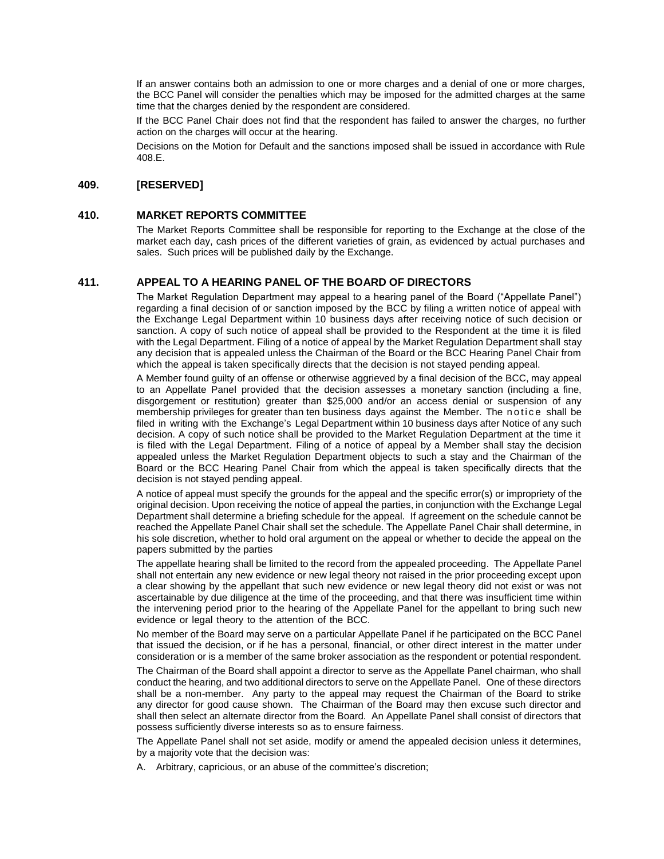If an answer contains both an admission to one or more charges and a denial of one or more charges, the BCC Panel will consider the penalties which may be imposed for the admitted charges at the same time that the charges denied by the respondent are considered.

If the BCC Panel Chair does not find that the respondent has failed to answer the charges, no further action on the charges will occur at the hearing.

Decisions on the Motion for Default and the sanctions imposed shall be issued in accordance with Rule 408.E.

# **409. [RESERVED]**

### **410. MARKET REPORTS COMMITTEE**

The Market Reports Committee shall be responsible for reporting to the Exchange at the close of the market each day, cash prices of the different varieties of grain, as evidenced by actual purchases and sales. Such prices will be published daily by the Exchange.

# **411. APPEAL TO A HEARING PANEL OF THE BOARD OF DIRECTORS**

The Market Regulation Department may appeal to a hearing panel of the Board ("Appellate Panel") regarding a final decision of or sanction imposed by the BCC by filing a written notice of appeal with the Exchange Legal Department within 10 business days after receiving notice of such decision or sanction. A copy of such notice of appeal shall be provided to the Respondent at the time it is filed with the Legal Department. Filing of a notice of appeal by the Market Regulation Department shall stay any decision that is appealed unless the Chairman of the Board or the BCC Hearing Panel Chair from which the appeal is taken specifically directs that the decision is not stayed pending appeal.

A Member found guilty of an offense or otherwise aggrieved by a final decision of the BCC, may appeal to an Appellate Panel provided that the decision assesses a monetary sanction (including a fine, disgorgement or restitution) greater than \$25,000 and/or an access denial or suspension of any membership privileges for greater than ten business days against the Member. The notice shall be filed in writing with the Exchange's Legal Department within 10 business days after Notice of any such decision. A copy of such notice shall be provided to the Market Regulation Department at the time it is filed with the Legal Department. Filing of a notice of appeal by a Member shall stay the decision appealed unless the Market Regulation Department objects to such a stay and the Chairman of the Board or the BCC Hearing Panel Chair from which the appeal is taken specifically directs that the decision is not stayed pending appeal.

A notice of appeal must specify the grounds for the appeal and the specific error(s) or impropriety of the original decision. Upon receiving the notice of appeal the parties, in conjunction with the Exchange Legal Department shall determine a briefing schedule for the appeal. If agreement on the schedule cannot be reached the Appellate Panel Chair shall set the schedule. The Appellate Panel Chair shall determine, in his sole discretion, whether to hold oral argument on the appeal or whether to decide the appeal on the papers submitted by the parties

The appellate hearing shall be limited to the record from the appealed proceeding. The Appellate Panel shall not entertain any new evidence or new legal theory not raised in the prior proceeding except upon a clear showing by the appellant that such new evidence or new legal theory did not exist or was not ascertainable by due diligence at the time of the proceeding, and that there was insufficient time within the intervening period prior to the hearing of the Appellate Panel for the appellant to bring such new evidence or legal theory to the attention of the BCC.

No member of the Board may serve on a particular Appellate Panel if he participated on the BCC Panel that issued the decision, or if he has a personal, financial, or other direct interest in the matter under consideration or is a member of the same broker association as the respondent or potential respondent.

The Chairman of the Board shall appoint a director to serve as the Appellate Panel chairman, who shall conduct the hearing, and two additional directors to serve on the Appellate Panel. One of these directors shall be a non-member. Any party to the appeal may request the Chairman of the Board to strike any director for good cause shown. The Chairman of the Board may then excuse such director and shall then select an alternate director from the Board. An Appellate Panel shall consist of directors that possess sufficiently diverse interests so as to ensure fairness.

The Appellate Panel shall not set aside, modify or amend the appealed decision unless it determines, by a majority vote that the decision was:

A. Arbitrary, capricious, or an abuse of the committee's discretion;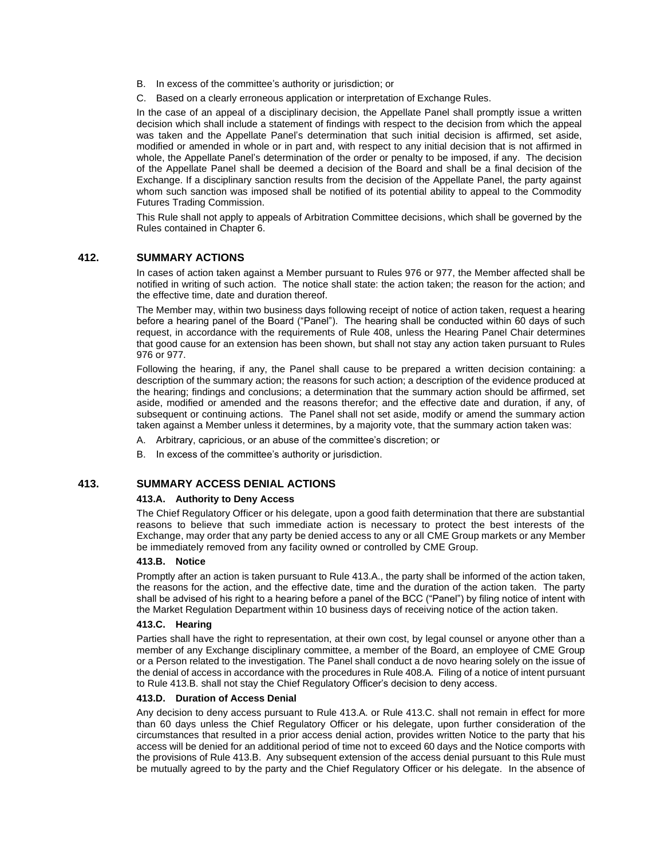- B. In excess of the committee's authority or jurisdiction; or
- C. Based on a clearly erroneous application or interpretation of Exchange Rules.

In the case of an appeal of a disciplinary decision, the Appellate Panel shall promptly issue a written decision which shall include a statement of findings with respect to the decision from which the appeal was taken and the Appellate Panel's determination that such initial decision is affirmed, set aside, modified or amended in whole or in part and, with respect to any initial decision that is not affirmed in whole, the Appellate Panel's determination of the order or penalty to be imposed, if any. The decision of the Appellate Panel shall be deemed a decision of the Board and shall be a final decision of the Exchange. If a disciplinary sanction results from the decision of the Appellate Panel, the party against whom such sanction was imposed shall be notified of its potential ability to appeal to the Commodity Futures Trading Commission.

This Rule shall not apply to appeals of Arbitration Committee decisions, which shall be governed by the Rules contained in Chapter 6.

### **412. SUMMARY ACTIONS**

In cases of action taken against a Member pursuant to Rules 976 or 977, the Member affected shall be notified in writing of such action. The notice shall state: the action taken; the reason for the action; and the effective time, date and duration thereof.

The Member may, within two business days following receipt of notice of action taken, request a hearing before a hearing panel of the Board ("Panel"). The hearing shall be conducted within 60 days of such request, in accordance with the requirements of Rule 408, unless the Hearing Panel Chair determines that good cause for an extension has been shown, but shall not stay any action taken pursuant to Rules 976 or 977.

Following the hearing, if any, the Panel shall cause to be prepared a written decision containing: a description of the summary action; the reasons for such action; a description of the evidence produced at the hearing; findings and conclusions; a determination that the summary action should be affirmed, set aside, modified or amended and the reasons therefor; and the effective date and duration, if any, of subsequent or continuing actions. The Panel shall not set aside, modify or amend the summary action taken against a Member unless it determines, by a majority vote, that the summary action taken was:

- A. Arbitrary, capricious, or an abuse of the committee's discretion; or
- B. In excess of the committee's authority or jurisdiction.

### **413. SUMMARY ACCESS DENIAL ACTIONS**

### **413.A. Authority to Deny Access**

The Chief Regulatory Officer or his delegate, upon a good faith determination that there are substantial reasons to believe that such immediate action is necessary to protect the best interests of the Exchange, may order that any party be denied access to any or all CME Group markets or any Member be immediately removed from any facility owned or controlled by CME Group.

#### **413.B. Notice**

Promptly after an action is taken pursuant to Rule 413.A., the party shall be informed of the action taken, the reasons for the action, and the effective date, time and the duration of the action taken. The party shall be advised of his right to a hearing before a panel of the BCC ("Panel") by filing notice of intent with the Market Regulation Department within 10 business days of receiving notice of the action taken.

### **413.C. Hearing**

Parties shall have the right to representation, at their own cost, by legal counsel or anyone other than a member of any Exchange disciplinary committee, a member of the Board, an employee of CME Group or a Person related to the investigation. The Panel shall conduct a de novo hearing solely on the issue of the denial of access in accordance with the procedures in Rule 408.A. Filing of a notice of intent pursuant to Rule 413.B. shall not stay the Chief Regulatory Officer's decision to deny access.

### **413.D. Duration of Access Denial**

Any decision to deny access pursuant to Rule 413.A. or Rule 413.C. shall not remain in effect for more than 60 days unless the Chief Regulatory Officer or his delegate, upon further consideration of the circumstances that resulted in a prior access denial action, provides written Notice to the party that his access will be denied for an additional period of time not to exceed 60 days and the Notice comports with the provisions of Rule 413.B. Any subsequent extension of the access denial pursuant to this Rule must be mutually agreed to by the party and the Chief Regulatory Officer or his delegate. In the absence of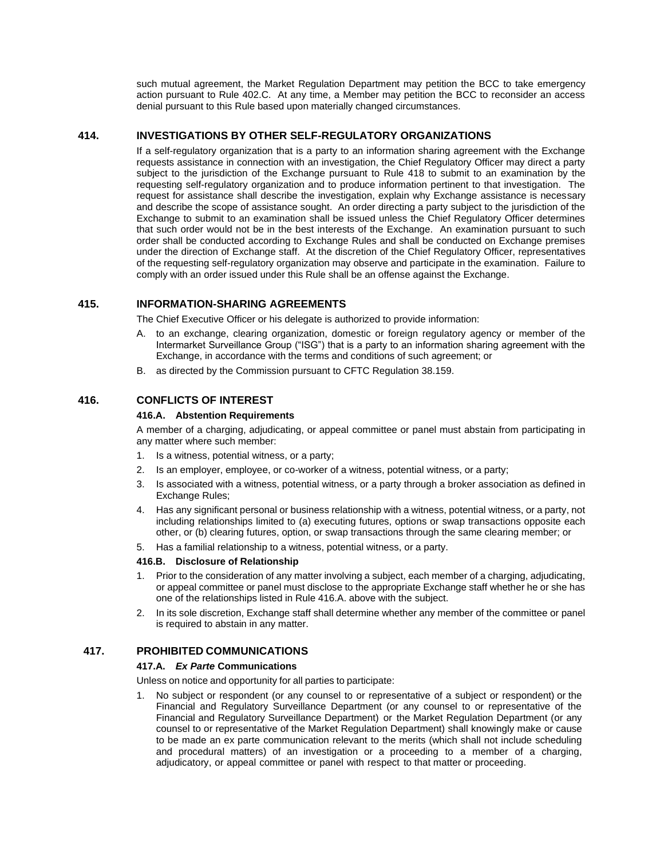such mutual agreement, the Market Regulation Department may petition the BCC to take emergency action pursuant to Rule 402.C. At any time, a Member may petition the BCC to reconsider an access denial pursuant to this Rule based upon materially changed circumstances.

# **414. INVESTIGATIONS BY OTHER SELF-REGULATORY ORGANIZATIONS**

If a self-regulatory organization that is a party to an information sharing agreement with the Exchange requests assistance in connection with an investigation, the Chief Regulatory Officer may direct a party subject to the jurisdiction of the Exchange pursuant to Rule 418 to submit to an examination by the requesting self-regulatory organization and to produce information pertinent to that investigation. The request for assistance shall describe the investigation, explain why Exchange assistance is necessary and describe the scope of assistance sought. An order directing a party subject to the jurisdiction of the Exchange to submit to an examination shall be issued unless the Chief Regulatory Officer determines that such order would not be in the best interests of the Exchange. An examination pursuant to such order shall be conducted according to Exchange Rules and shall be conducted on Exchange premises under the direction of Exchange staff. At the discretion of the Chief Regulatory Officer, representatives of the requesting self-regulatory organization may observe and participate in the examination. Failure to comply with an order issued under this Rule shall be an offense against the Exchange.

# **415. INFORMATION-SHARING AGREEMENTS**

The Chief Executive Officer or his delegate is authorized to provide information:

- A. to an exchange, clearing organization, domestic or foreign regulatory agency or member of the Intermarket Surveillance Group ("ISG") that is a party to an information sharing agreement with the Exchange, in accordance with the terms and conditions of such agreement; or
- B. as directed by the Commission pursuant to CFTC Regulation 38.159.

# **416. CONFLICTS OF INTEREST**

#### **416.A. Abstention Requirements**

A member of a charging, adjudicating, or appeal committee or panel must abstain from participating in any matter where such member:

- 1. Is a witness, potential witness, or a party;
- 2. Is an employer, employee, or co-worker of a witness, potential witness, or a party;
- 3. Is associated with a witness, potential witness, or a party through a broker association as defined in Exchange Rules;
- 4. Has any significant personal or business relationship with a witness, potential witness, or a party, not including relationships limited to (a) executing futures, options or swap transactions opposite each other, or (b) clearing futures, option, or swap transactions through the same clearing member; or
- 5. Has a familial relationship to a witness, potential witness, or a party.

### **416.B. Disclosure of Relationship**

- 1. Prior to the consideration of any matter involving a subject, each member of a charging, adjudicating, or appeal committee or panel must disclose to the appropriate Exchange staff whether he or she has one of the relationships listed in Rule 416.A. above with the subject.
- 2. In its sole discretion, Exchange staff shall determine whether any member of the committee or panel is required to abstain in any matter.

# **417. PROHIBITED COMMUNICATIONS**

### **417.A.** *Ex Parte* **Communications**

Unless on notice and opportunity for all parties to participate:

1. No subject or respondent (or any counsel to or representative of a subject or respondent) or the Financial and Regulatory Surveillance Department (or any counsel to or representative of the Financial and Regulatory Surveillance Department) or the Market Regulation Department (or any counsel to or representative of the Market Regulation Department) shall knowingly make or cause to be made an ex parte communication relevant to the merits (which shall not include scheduling and procedural matters) of an investigation or a proceeding to a member of a charging, adjudicatory, or appeal committee or panel with respect to that matter or proceeding.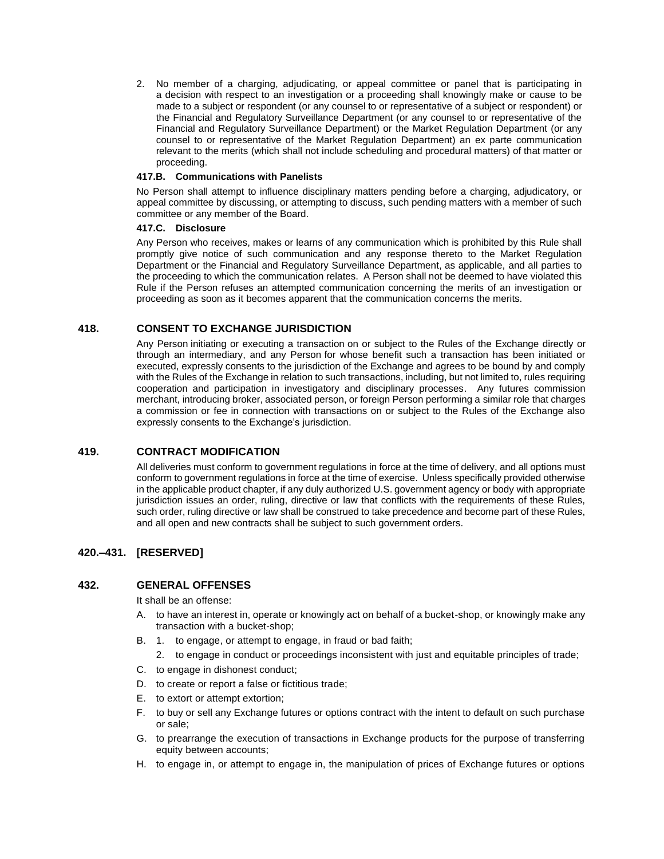2. No member of a charging, adjudicating, or appeal committee or panel that is participating in a decision with respect to an investigation or a proceeding shall knowingly make or cause to be made to a subject or respondent (or any counsel to or representative of a subject or respondent) or the Financial and Regulatory Surveillance Department (or any counsel to or representative of the Financial and Regulatory Surveillance Department) or the Market Regulation Department (or any counsel to or representative of the Market Regulation Department) an ex parte communication relevant to the merits (which shall not include scheduling and procedural matters) of that matter or proceeding.

### **417.B. Communications with Panelists**

No Person shall attempt to influence disciplinary matters pending before a charging, adjudicatory, or appeal committee by discussing, or attempting to discuss, such pending matters with a member of such committee or any member of the Board.

### **417.C. Disclosure**

Any Person who receives, makes or learns of any communication which is prohibited by this Rule shall promptly give notice of such communication and any response thereto to the Market Regulation Department or the Financial and Regulatory Surveillance Department, as applicable, and all parties to the proceeding to which the communication relates. A Person shall not be deemed to have violated this Rule if the Person refuses an attempted communication concerning the merits of an investigation or proceeding as soon as it becomes apparent that the communication concerns the merits.

# **418. CONSENT TO EXCHANGE JURISDICTION**

Any Person initiating or executing a transaction on or subject to the Rules of the Exchange directly or through an intermediary, and any Person for whose benefit such a transaction has been initiated or executed, expressly consents to the jurisdiction of the Exchange and agrees to be bound by and comply with the Rules of the Exchange in relation to such transactions, including, but not limited to, rules requiring cooperation and participation in investigatory and disciplinary processes. Any futures commission merchant, introducing broker, associated person, or foreign Person performing a similar role that charges a commission or fee in connection with transactions on or subject to the Rules of the Exchange also expressly consents to the Exchange's jurisdiction.

# **419. CONTRACT MODIFICATION**

All deliveries must conform to government regulations in force at the time of delivery, and all options must conform to government regulations in force at the time of exercise. Unless specifically provided otherwise in the applicable product chapter, if any duly authorized U.S. government agency or body with appropriate jurisdiction issues an order, ruling, directive or law that conflicts with the requirements of these Rules, such order, ruling directive or law shall be construed to take precedence and become part of these Rules, and all open and new contracts shall be subject to such government orders.

# **420.–431. [RESERVED]**

# **432. GENERAL OFFENSES**

It shall be an offense:

- A. to have an interest in, operate or knowingly act on behalf of a bucket-shop, or knowingly make any transaction with a bucket-shop;
- B. 1. to engage, or attempt to engage, in fraud or bad faith;
	- 2. to engage in conduct or proceedings inconsistent with just and equitable principles of trade;
- C. to engage in dishonest conduct;
- D. to create or report a false or fictitious trade;
- E. to extort or attempt extortion;
- F. to buy or sell any Exchange futures or options contract with the intent to default on such purchase or sale;
- G. to prearrange the execution of transactions in Exchange products for the purpose of transferring equity between accounts;
- H. to engage in, or attempt to engage in, the manipulation of prices of Exchange futures or options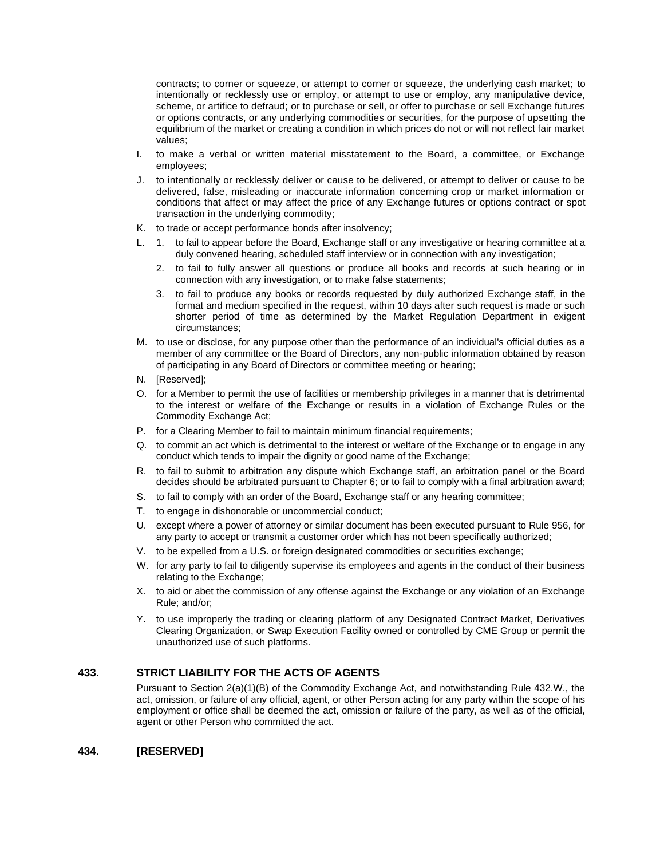contracts; to corner or squeeze, or attempt to corner or squeeze, the underlying cash market; to intentionally or recklessly use or employ, or attempt to use or employ, any manipulative device, scheme, or artifice to defraud; or to purchase or sell, or offer to purchase or sell Exchange futures or options contracts, or any underlying commodities or securities, for the purpose of upsetting the equilibrium of the market or creating a condition in which prices do not or will not reflect fair market values;

- I. to make a verbal or written material misstatement to the Board, a committee, or Exchange employees;
- J. to intentionally or recklessly deliver or cause to be delivered, or attempt to deliver or cause to be delivered, false, misleading or inaccurate information concerning crop or market information or conditions that affect or may affect the price of any Exchange futures or options contract or spot transaction in the underlying commodity;
- K. to trade or accept performance bonds after insolvency;
- L. 1. to fail to appear before the Board, Exchange staff or any investigative or hearing committee at a duly convened hearing, scheduled staff interview or in connection with any investigation;
	- 2. to fail to fully answer all questions or produce all books and records at such hearing or in connection with any investigation, or to make false statements;
	- 3. to fail to produce any books or records requested by duly authorized Exchange staff, in the format and medium specified in the request, within 10 days after such request is made or such shorter period of time as determined by the Market Regulation Department in exigent circumstances;
- M. to use or disclose, for any purpose other than the performance of an individual's official duties as a member of any committee or the Board of Directors, any non-public information obtained by reason of participating in any Board of Directors or committee meeting or hearing;
- N. [Reserved];
- O. for a Member to permit the use of facilities or membership privileges in a manner that is detrimental to the interest or welfare of the Exchange or results in a violation of Exchange Rules or the Commodity Exchange Act;
- P. for a Clearing Member to fail to maintain minimum financial requirements;
- Q. to commit an act which is detrimental to the interest or welfare of the Exchange or to engage in any conduct which tends to impair the dignity or good name of the Exchange;
- R. to fail to submit to arbitration any dispute which Exchange staff, an arbitration panel or the Board decides should be arbitrated pursuant to Chapter 6; or to fail to comply with a final arbitration award;
- S. to fail to comply with an order of the Board, Exchange staff or any hearing committee;
- T. to engage in dishonorable or uncommercial conduct;
- U. except where a power of attorney or similar document has been executed pursuant to Rule 956, for any party to accept or transmit a customer order which has not been specifically authorized;
- V. to be expelled from a U.S. or foreign designated commodities or securities exchange;
- W. for any party to fail to diligently supervise its employees and agents in the conduct of their business relating to the Exchange;
- X. to aid or abet the commission of any offense against the Exchange or any violation of an Exchange Rule; and/or;
- Y. to use improperly the trading or clearing platform of any Designated Contract Market, Derivatives Clearing Organization, or Swap Execution Facility owned or controlled by CME Group or permit the unauthorized use of such platforms.

### **433. STRICT LIABILITY FOR THE ACTS OF AGENTS**

Pursuant to Section 2(a)(1)(B) of the Commodity Exchange Act, and notwithstanding Rule 432.W., the act, omission, or failure of any official, agent, or other Person acting for any party within the scope of his employment or office shall be deemed the act, omission or failure of the party, as well as of the official, agent or other Person who committed the act.

# **434. [RESERVED]**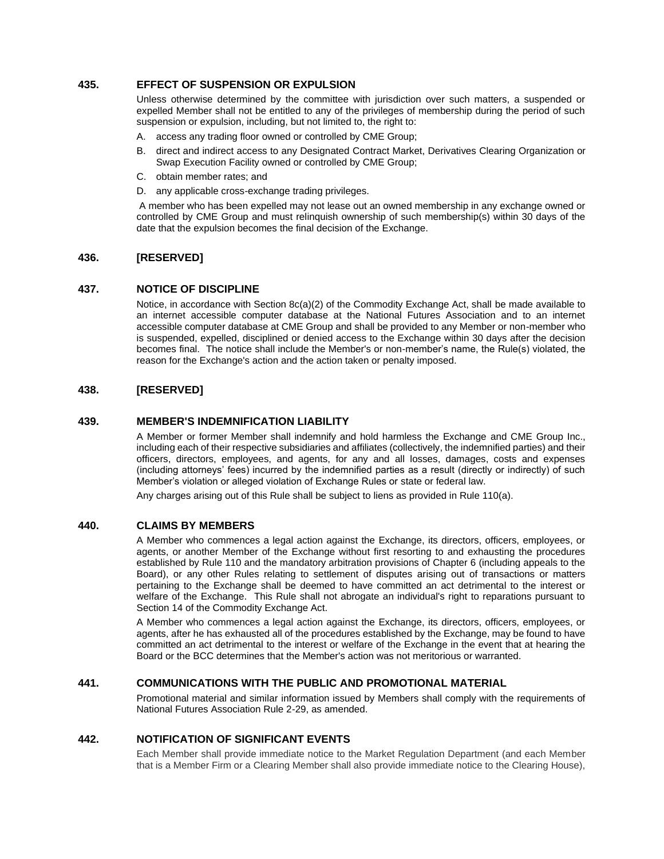# **435. EFFECT OF SUSPENSION OR EXPULSION**

Unless otherwise determined by the committee with jurisdiction over such matters, a suspended or expelled Member shall not be entitled to any of the privileges of membership during the period of such suspension or expulsion, including, but not limited to, the right to:

- A. access any trading floor owned or controlled by CME Group;
- B. direct and indirect access to any Designated Contract Market, Derivatives Clearing Organization or Swap Execution Facility owned or controlled by CME Group;
- C. obtain member rates; and
- D. any applicable cross-exchange trading privileges.

A member who has been expelled may not lease out an owned membership in any exchange owned or controlled by CME Group and must relinquish ownership of such membership(s) within 30 days of the date that the expulsion becomes the final decision of the Exchange.

# **436. [RESERVED]**

### **437. NOTICE OF DISCIPLINE**

Notice, in accordance with Section 8c(a)(2) of the Commodity Exchange Act, shall be made available to an internet accessible computer database at the National Futures Association and to an internet accessible computer database at CME Group and shall be provided to any Member or non-member who is suspended, expelled, disciplined or denied access to the Exchange within 30 days after the decision becomes final. The notice shall include the Member's or non-member's name, the Rule(s) violated, the reason for the Exchange's action and the action taken or penalty imposed.

# **438. [RESERVED]**

### **439. MEMBER'S INDEMNIFICATION LIABILITY**

A Member or former Member shall indemnify and hold harmless the Exchange and CME Group Inc., including each of their respective subsidiaries and affiliates (collectively, the indemnified parties) and their officers, directors, employees, and agents, for any and all losses, damages, costs and expenses (including attorneys' fees) incurred by the indemnified parties as a result (directly or indirectly) of such Member's violation or alleged violation of Exchange Rules or state or federal law.

Any charges arising out of this Rule shall be subject to liens as provided in Rule 110(a).

# **440. CLAIMS BY MEMBERS**

A Member who commences a legal action against the Exchange, its directors, officers, employees, or agents, or another Member of the Exchange without first resorting to and exhausting the procedures established by Rule 110 and the mandatory arbitration provisions of Chapter 6 (including appeals to the Board), or any other Rules relating to settlement of disputes arising out of transactions or matters pertaining to the Exchange shall be deemed to have committed an act detrimental to the interest or welfare of the Exchange. This Rule shall not abrogate an individual's right to reparations pursuant to Section 14 of the Commodity Exchange Act.

A Member who commences a legal action against the Exchange, its directors, officers, employees, or agents, after he has exhausted all of the procedures established by the Exchange, may be found to have committed an act detrimental to the interest or welfare of the Exchange in the event that at hearing the Board or the BCC determines that the Member's action was not meritorious or warranted.

# **441. COMMUNICATIONS WITH THE PUBLIC AND PROMOTIONAL MATERIAL**

Promotional material and similar information issued by Members shall comply with the requirements of National Futures Association Rule 2-29, as amended.

# **442. NOTIFICATION OF SIGNIFICANT EVENTS**

Each Member shall provide immediate notice to the Market Regulation Department (and each Member that is a Member Firm or a Clearing Member shall also provide immediate notice to the Clearing House),